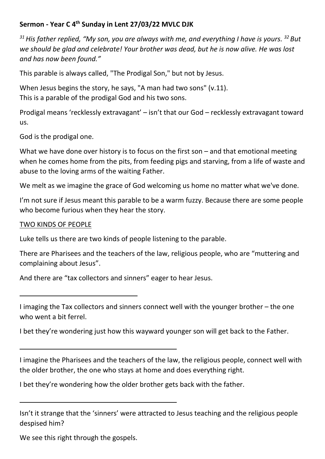## **Sermon - Year C 4th Sunday in Lent 27/03/22 MVLC DJK**

*<sup>31</sup>His father replied, "My son, you are always with me, and everything I have is yours. <sup>32</sup>But we should be glad and celebrate! Your brother was dead, but he is now alive. He was lost and has now been found."* 

This parable is always called, "The Prodigal Son," but not by Jesus.

When Jesus begins the story, he says, "A man had two sons" (v.11). This is a parable of the prodigal God and his two sons.

Prodigal means 'recklessly extravagant' – isn't that our God – recklessly extravagant toward us.

God is the prodigal one.

What we have done over history is to focus on the first son – and that emotional meeting when he comes home from the pits, from feeding pigs and starving, from a life of waste and abuse to the loving arms of the waiting Father.

We melt as we imagine the grace of God welcoming us home no matter what we've done.

I'm not sure if Jesus meant this parable to be a warm fuzzy. Because there are some people who become furious when they hear the story.

## TWO KINDS OF PEOPLE

Luke tells us there are two kinds of people listening to the parable.

There are Pharisees and the teachers of the law, religious people, who are "muttering and complaining about Jesus".

And there are "tax collectors and sinners" eager to hear Jesus.

I imaging the Tax collectors and sinners connect well with the younger brother – the one who went a bit ferrel.

I bet they're wondering just how this wayward younger son will get back to the Father.

I imagine the Pharisees and the teachers of the law, the religious people, connect well with the older brother, the one who stays at home and does everything right.

I bet they're wondering how the older brother gets back with the father.

Isn't it strange that the 'sinners' were attracted to Jesus teaching and the religious people despised him?

We see this right through the gospels.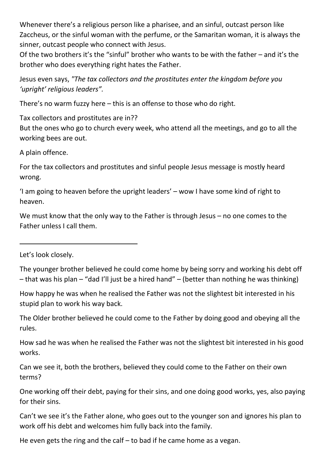Whenever there's a religious person like a pharisee, and an sinful, outcast person like Zaccheus, or the sinful woman with the perfume, or the Samaritan woman, it is always the sinner, outcast people who connect with Jesus.

Of the two brothers it's the "sinful" brother who wants to be with the father – and it's the brother who does everything right hates the Father.

Jesus even says, *"The tax collectors and the prostitutes enter the kingdom before you 'upright' religious leaders".*

There's no warm fuzzy here – this is an offense to those who do right.

Tax collectors and prostitutes are in??

But the ones who go to church every week, who attend all the meetings, and go to all the working bees are out.

A plain offence.

For the tax collectors and prostitutes and sinful people Jesus message is mostly heard wrong.

'I am going to heaven before the upright leaders' – wow I have some kind of right to heaven.

We must know that the only way to the Father is through Jesus – no one comes to the Father unless I call them.

Let's look closely.

The younger brother believed he could come home by being sorry and working his debt off – that was his plan – "dad I'll just be a hired hand" – (better than nothing he was thinking)

How happy he was when he realised the Father was not the slightest bit interested in his stupid plan to work his way back.

The Older brother believed he could come to the Father by doing good and obeying all the rules.

How sad he was when he realised the Father was not the slightest bit interested in his good works.

Can we see it, both the brothers, believed they could come to the Father on their own terms?

One working off their debt, paying for their sins, and one doing good works, yes, also paying for their sins.

Can't we see it's the Father alone, who goes out to the younger son and ignores his plan to work off his debt and welcomes him fully back into the family.

He even gets the ring and the calf  $-$  to bad if he came home as a vegan.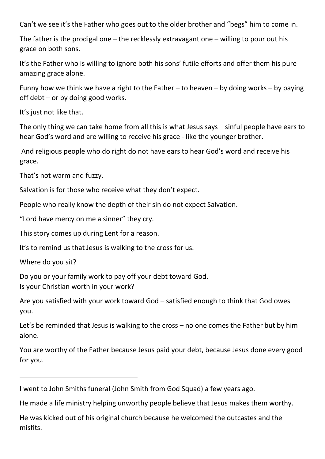Can't we see it's the Father who goes out to the older brother and "begs" him to come in.

The father is the prodigal one – the recklessly extravagant one – willing to pour out his grace on both sons.

It's the Father who is willing to ignore both his sons' futile efforts and offer them his pure amazing grace alone.

Funny how we think we have a right to the Father – to heaven – by doing works – by paying off debt – or by doing good works.

It's just not like that.

The only thing we can take home from all this is what Jesus says – sinful people have ears to hear God's word and are willing to receive his grace - like the younger brother.

 And religious people who do right do not have ears to hear God's word and receive his grace.

That's not warm and fuzzy.

Salvation is for those who receive what they don't expect.

People who really know the depth of their sin do not expect Salvation.

"Lord have mercy on me a sinner" they cry.

This story comes up during Lent for a reason.

It's to remind us that Jesus is walking to the cross for us.

Where do you sit?

Do you or your family work to pay off your debt toward God. Is your Christian worth in your work?

Are you satisfied with your work toward God – satisfied enough to think that God owes you.

Let's be reminded that Jesus is walking to the cross – no one comes the Father but by him alone.

You are worthy of the Father because Jesus paid your debt, because Jesus done every good for you.

I went to John Smiths funeral (John Smith from God Squad) a few years ago.

He made a life ministry helping unworthy people believe that Jesus makes them worthy.

He was kicked out of his original church because he welcomed the outcastes and the misfits.